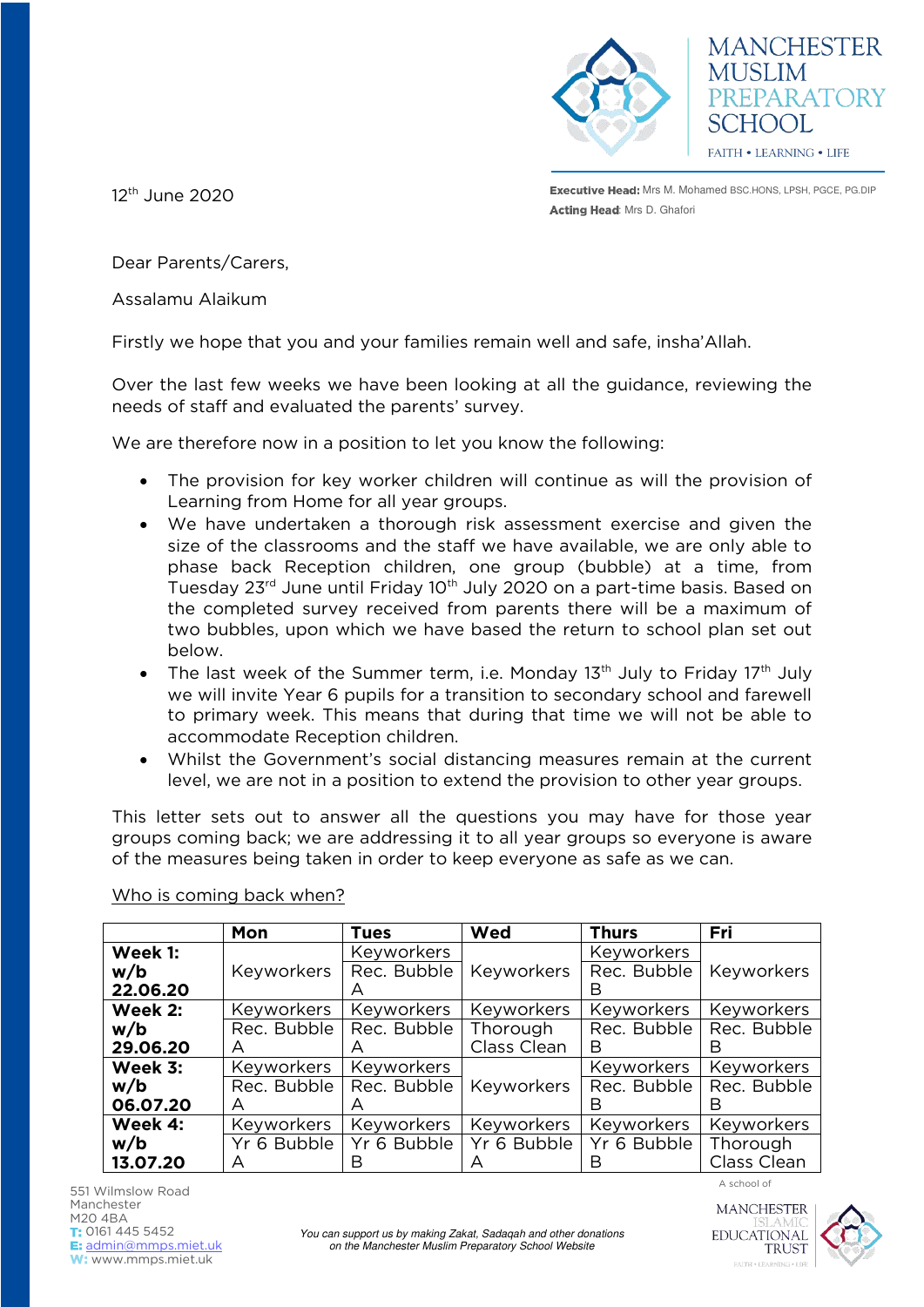



12<sup>th</sup> June 2020

**Executive Head:** Mrs M. Mohamed BSC.HONS, LPSH, PGCE, PG.DIP Acting Head: Mrs D. Ghafori

Dear Parents/Carers,

Assalamu Alaikum

Firstly we hope that you and your families remain well and safe, insha'Allah.

Over the last few weeks we have been looking at all the guidance, reviewing the needs of staff and evaluated the parents' survey.

We are therefore now in a position to let you know the following:

- The provision for key worker children will continue as will the provision of Learning from Home for all year groups.
- We have undertaken a thorough risk assessment exercise and given the size of the classrooms and the staff we have available, we are only able to phase back Reception children, one group (bubble) at a time, from Tuesday 23<sup>rd</sup> June until Friday 10<sup>th</sup> July 2020 on a part-time basis. Based on the completed survey received from parents there will be a maximum of two bubbles, upon which we have based the return to school plan set out below.
- The last week of the Summer term, i.e. Monday  $13<sup>th</sup>$  July to Friday  $17<sup>th</sup>$  July we will invite Year 6 pupils for a transition to secondary school and farewell to primary week. This means that during that time we will not be able to accommodate Reception children.
- Whilst the Government's social distancing measures remain at the current level, we are not in a position to extend the provision to other year groups.

This letter sets out to answer all the questions you may have for those year groups coming back; we are addressing it to all year groups so everyone is aware of the measures being taken in order to keep everyone as safe as we can.

|          | Mon               | <b>Tues</b> | Wed         | <b>Thurs</b> | Fri         |
|----------|-------------------|-------------|-------------|--------------|-------------|
| Week 1:  |                   | Keyworkers  |             | Keyworkers   |             |
| w/b      | Keyworkers        | Rec. Bubble | Keyworkers  | Rec. Bubble  | Keyworkers  |
| 22.06.20 |                   | $\forall$   |             | В            |             |
| Week 2:  | Keyworkers        | Keyworkers  | Keyworkers  | Keyworkers   | Keyworkers  |
| w/b      | Rec. Bubble       | Rec. Bubble | Thorough    | Rec. Bubble  | Rec. Bubble |
| 29.06.20 | A                 | A           | Class Clean | B            | В           |
| Week 3:  | Keyworkers        | Keyworkers  |             | Keyworkers   | Keyworkers  |
| w/b      | Rec. Bubble       | Rec. Bubble | Keyworkers  | Rec. Bubble  | Rec. Bubble |
| 06.07.20 | A                 | A           |             | В            | R           |
| Week 4:  | <b>Keyworkers</b> | Keyworkers  | Keyworkers  | Keyworkers   | Keyworkers  |
| w/b      | Yr 6 Bubble       | Yr 6 Bubble | Yr 6 Bubble | Yr 6 Bubble  | Thorough    |
| 13.07.20 | А                 | В           |             | В            | Class Clean |

Who is coming back when?



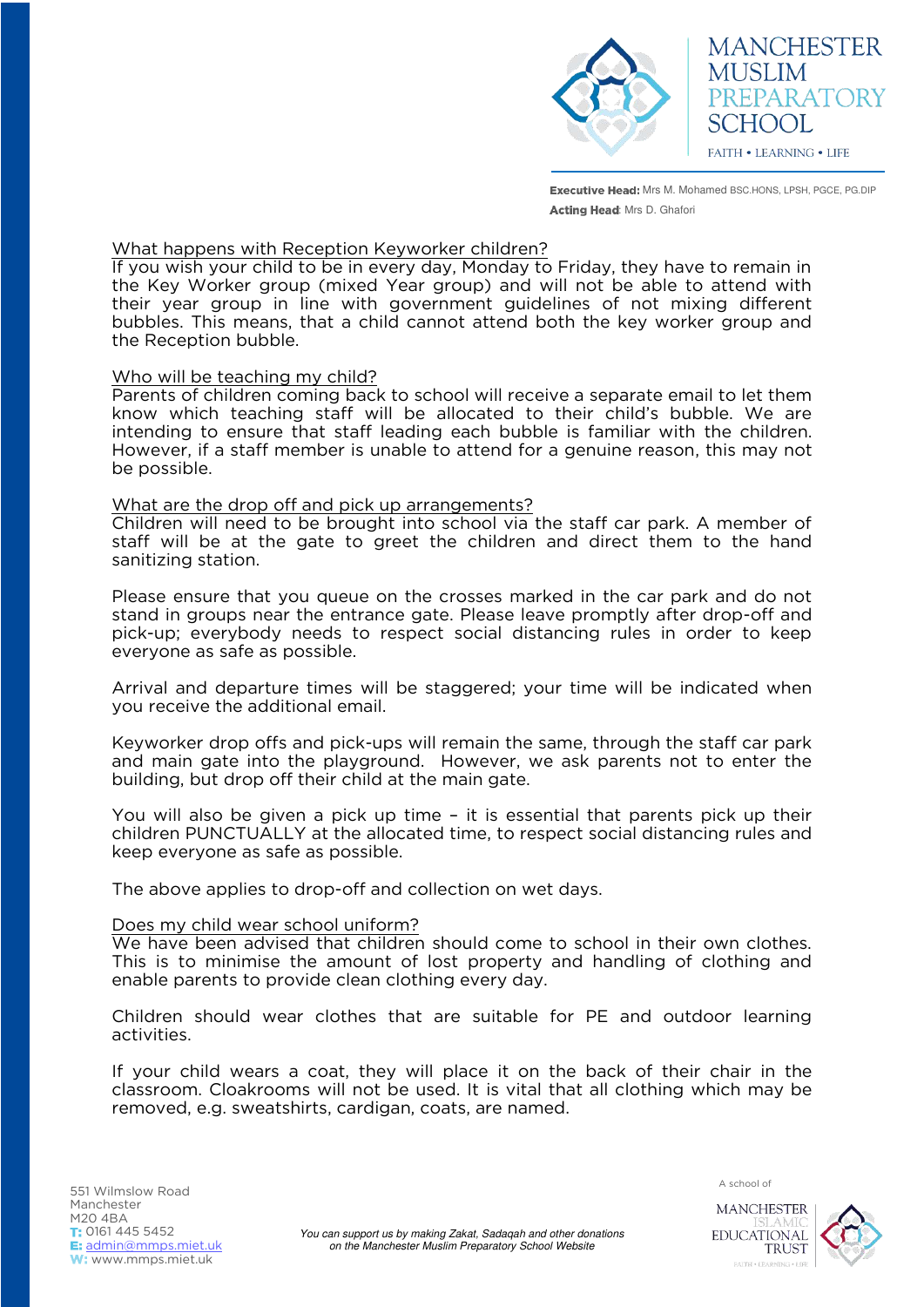

**Executive Head:** Mrs M. Mohamed BSC.HONS, LPSH, PGCE, PG.DIP Acting Head: Mrs D. Ghafori

# What happens with Reception Keyworker children?

If you wish your child to be in every day, Monday to Friday, they have to remain in the Key Worker group (mixed Year group) and will not be able to attend with their year group in line with government guidelines of not mixing different bubbles. This means, that a child cannot attend both the key worker group and the Reception bubble.

## Who will be teaching my child?

Parents of children coming back to school will receive a separate email to let them know which teaching staff will be allocated to their child's bubble. We are intending to ensure that staff leading each bubble is familiar with the children. However, if a staff member is unable to attend for a genuine reason, this may not be possible.

## What are the drop off and pick up arrangements?

Children will need to be brought into school via the staff car park. A member of staff will be at the gate to greet the children and direct them to the hand sanitizing station.

Please ensure that you queue on the crosses marked in the car park and do not stand in groups near the entrance gate. Please leave promptly after drop-off and pick-up; everybody needs to respect social distancing rules in order to keep everyone as safe as possible.

Arrival and departure times will be staggered; your time will be indicated when you receive the additional email.

Keyworker drop offs and pick-ups will remain the same, through the staff car park and main gate into the playground. However, we ask parents not to enter the building, but drop off their child at the main gate.

You will also be given a pick up time – it is essential that parents pick up their children PUNCTUALLY at the allocated time, to respect social distancing rules and keep everyone as safe as possible.

The above applies to drop-off and collection on wet days.

# Does my child wear school uniform?

We have been advised that children should come to school in their own clothes. This is to minimise the amount of lost property and handling of clothing and enable parents to provide clean clothing every day.

Children should wear clothes that are suitable for PE and outdoor learning activities.

If your child wears a coat, they will place it on the back of their chair in the classroom. Cloakrooms will not be used. It is vital that all clothing which may be removed, e.g. sweatshirts, cardigan, coats, are named.



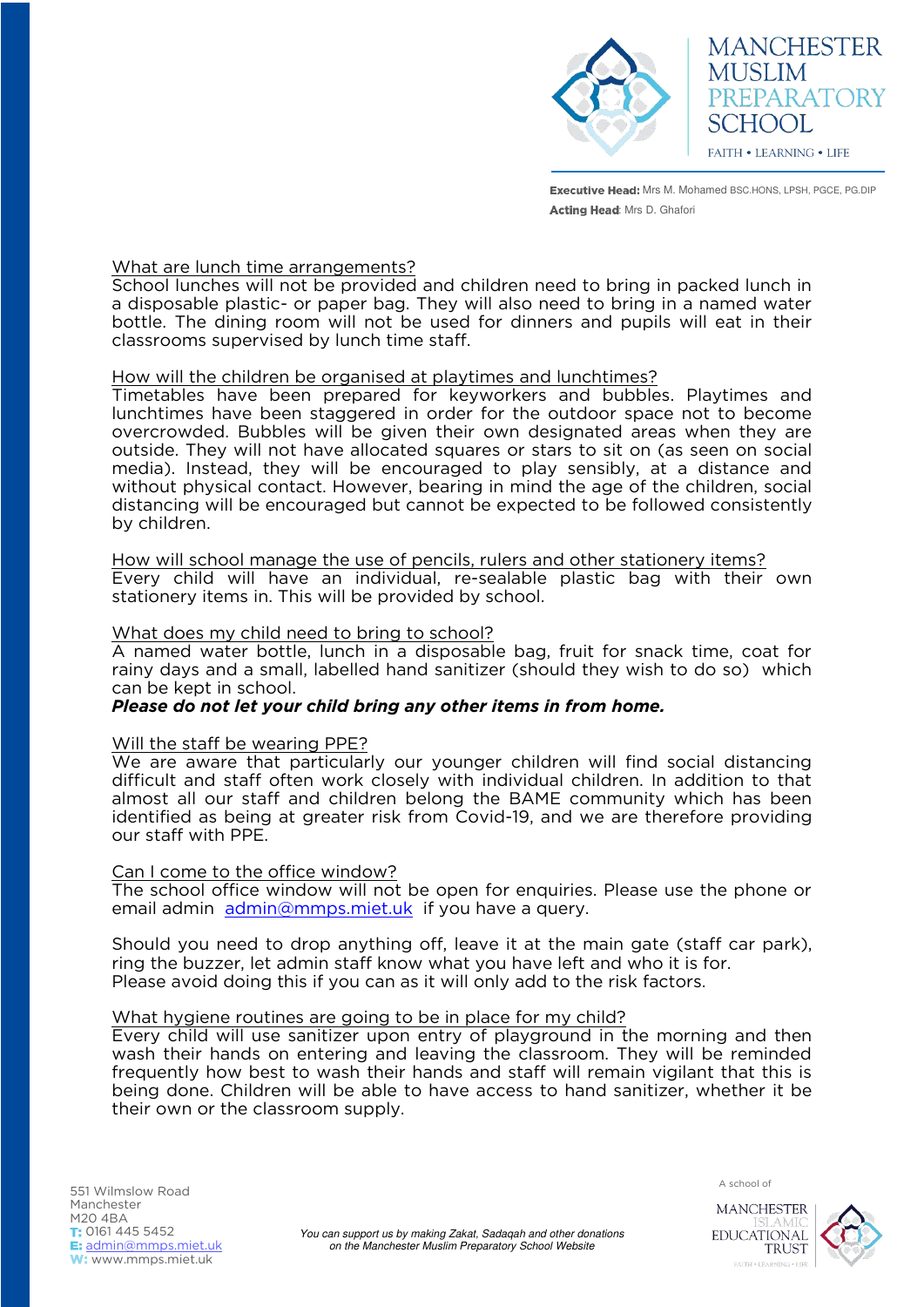

**MANCHESTER MUSLIM** PREPARATORY SCHOOL **FAITH • LEARNING • LIFE** 

**Executive Head:** Mrs M. Mohamed BSC.HONS, LPSH, PGCE, PG.DIP Acting Head: Mrs D. Ghafori

# What are lunch time arrangements?

School lunches will not be provided and children need to bring in packed lunch in a disposable plastic- or paper bag. They will also need to bring in a named water bottle. The dining room will not be used for dinners and pupils will eat in their classrooms supervised by lunch time staff.

# How will the children be organised at playtimes and lunchtimes?

Timetables have been prepared for keyworkers and bubbles. Playtimes and lunchtimes have been staggered in order for the outdoor space not to become overcrowded. Bubbles will be given their own designated areas when they are outside. They will not have allocated squares or stars to sit on (as seen on social media). Instead, they will be encouraged to play sensibly, at a distance and without physical contact. However, bearing in mind the age of the children, social distancing will be encouraged but cannot be expected to be followed consistently by children.

How will school manage the use of pencils, rulers and other stationery items? Every child will have an individual, re-sealable plastic bag with their own stationery items in. This will be provided by school.

# What does my child need to bring to school?

A named water bottle, lunch in a disposable bag, fruit for snack time, coat for rainy days and a small, labelled hand sanitizer (should they wish to do so) which can be kept in school.

# *Please do not let your child bring any other items in from home.*

#### Will the staff be wearing PPE?

We are aware that particularly our younger children will find social distancing difficult and staff often work closely with individual children. In addition to that almost all our staff and children belong the BAME community which has been identified as being at greater risk from Covid-19, and we are therefore providing our staff with PPE.

#### Can I come to the office window?

The school office window will not be open for enquiries. Please use the phone or email admin [admin@mmps.miet.uk](mailto:admin@mmps.miet.uk) if you have a query.

Should you need to drop anything off, leave it at the main gate (staff car park), ring the buzzer, let admin staff know what you have left and who it is for. Please avoid doing this if you can as it will only add to the risk factors.

#### What hygiene routines are going to be in place for my child?

Every child will use sanitizer upon entry of playground in the morning and then wash their hands on entering and leaving the classroom. They will be reminded frequently how best to wash their hands and staff will remain vigilant that this is being done. Children will be able to have access to hand sanitizer, whether it be their own or the classroom supply.